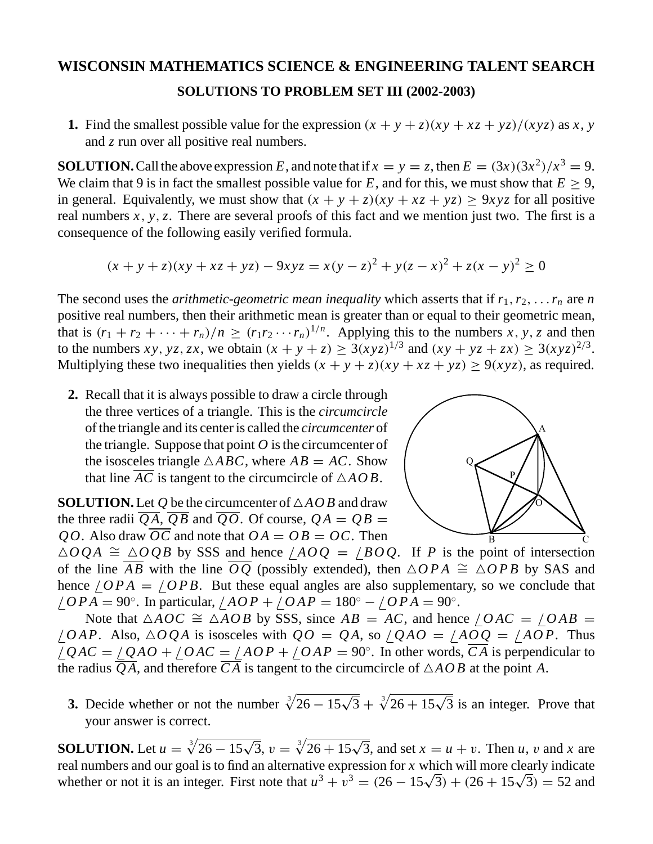## **WISCONSIN MATHEMATICS SCIENCE & ENGINEERING TALENT SEARCH SOLUTIONS TO PROBLEM SET III (2002-2003)**

**1.** Find the smallest possible value for the expression  $(x + y + z)(xy + xz + yz)/(xyz)$  as *x*, *y* and *z* run over all positive real numbers.

**SOLUTION.** Call the above expression *E*, and note that if  $x = y = z$ , then  $E = (3x)(3x^2)/x^3 = 9$ . We claim that 9 is in fact the smallest possible value for  $E$ , and for this, we must show that  $E > 9$ . in general. Equivalently, we must show that  $(x + y + z)(xy + xz + yz) \ge 9xyz$  for all positive real numbers *x*, *y*,*z*. There are several proofs of this fact and we mention just two. The first is a consequence of the following easily verified formula.

$$
(x + y + z)(xy + xz + yz) - 9xyz = x(y - z)^{2} + y(z - x)^{2} + z(x - y)^{2} \ge 0
$$

The second uses the *arithmetic-geometric mean inequality* which asserts that if  $r_1, r_2, \ldots, r_n$  are *n* positive real numbers, then their arithmetic mean is greater than or equal to their geometric mean, that is  $(r_1 + r_2 + \cdots + r_n)/n \ge (r_1 r_2 \cdots r_n)^{1/n}$ . Applying this to the numbers *x*, *y*, *z* and then to the numbers *xy*, *yz*, *zx*, we obtain  $(x + y + z) \ge 3(xyz)^{1/3}$  and  $(xy + yz + zx) \ge 3(xyz)^{2/3}$ . Multiplying these two inequalities then yields  $(x + y + z)(xy + xz + yz) \ge 9(xyz)$ , as required.

**2.** Recall that it is always possible to draw a circle through the three vertices of a triangle. This is the *circumcircle* of the triangle and its center is called the *circumcenter* of the triangle. Suppose that point  $O$  is the circumcenter of the isosceles triangle  $\triangle ABC$ , where  $AB = AC$ . Show that line *AC* is tangent to the circumcircle of  $\triangle AOB$ .

**SOLUTION.** Let  $Q$  be the circumcenter of  $\triangle AOB$  and draw the three radii  $\overline{QA}$ ,  $\overline{QB}$  and  $\overline{QO}$ . Of course,  $QA = QB$ *QO*. Also draw *OC* and note that  $OA = OB = OC$ . Then



 $\triangle OQA \cong \triangle OQB$  by SSS and hence  $\angle AOQ = \angle BOQ$ . If *P* is the point of intersection of the line *AB* with the line *OQ* (possibly extended), then  $\triangle OPA \cong \triangle OPB$  by SAS and hence  $\angle OPA = \angle OPB$ . But these equal angles are also supplementary, so we conclude that / *OPA* = 90◦. In particular, / *AOP* + / *OAP* = 180◦ − / *OPA* = 90◦.

Note that  $\triangle AOC \cong \triangle AOB$  by SSS, since  $AB = AC$ , and hence  $\angle OAC = \angle OAB =$  $\angle OAP$ . Also,  $\triangle OQA$  is isosceles with  $QO = QA$ , so  $\angle QAO = \angle AOO = \angle AOP$ . Thus  $\angle QAC = \angle QAO + \angle OAC = \angle AOP + \angle OAP = 90^\circ$ . In other words,  $\overline{CA}$  is perpendicular to the radius QA, and therefore CA is tangent to the circumcircle of  $\triangle AOB$  at the point A.

**3.** Decide whether or not the number  $\sqrt[3]{26 - 15\sqrt{3}} + \sqrt[3]{26 + 15\sqrt{3}}$  is an integer. Prove that your answer is correct.

**SOLUTION.** Let  $u = \sqrt[3]{26 - 15\sqrt{3}}$ ,  $v = \sqrt[3]{26 + 15\sqrt{3}}$ , and set  $x = u + v$ . Then *u*, *v* and *x* are real numbers and our goal is to find an alternative expression for *x* which will more clearly indicate whether or not it is an integer. First note that  $u^3 + v^3 = (26 - 15\sqrt{3}) + (26 + 15\sqrt{3}) = 52$  and